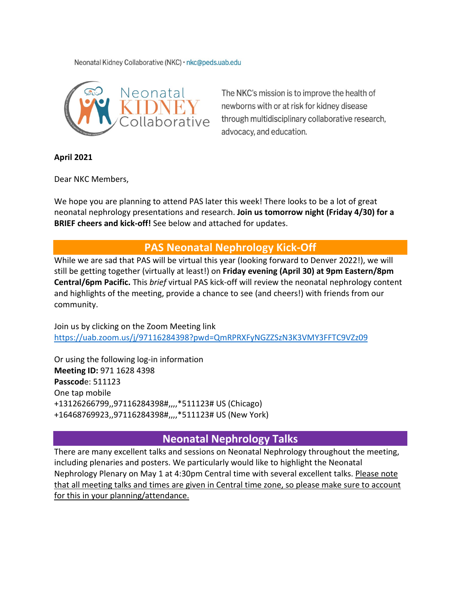Neonatal Kidney Collaborative (NKC) · nkc@peds.uab.edu



The NKC's mission is to improve the health of newborns with or at risk for kidney disease through multidisciplinary collaborative research, advocacy, and education.

**April 2021**

Dear NKC Members,

We hope you are planning to attend PAS later this week! There looks to be a lot of great neonatal nephrology presentations and research. **Join us tomorrow night (Friday 4/30) for a BRIEF cheers and kick-off!** See below and attached for updates.

## **PAS Neonatal Nephrology Kick-Off**

While we are sad that PAS will be virtual this year (looking forward to Denver 2022!), we will still be getting together (virtually at least!) on **Friday evening (April 30) at 9pm Eastern/8pm Central/6pm Pacific.** This *brief* virtual PAS kick-off will review the neonatal nephrology content and highlights of the meeting, provide a chance to see (and cheers!) with friends from our community.

Join us by clicking on the Zoom Meeting link <https://uab.zoom.us/j/97116284398?pwd=QmRPRXFyNGZZSzN3K3VMY3FFTC9VZz09>

Or using the following log-in information **Meeting ID:** 971 1628 4398 **Passcod**e: 511123 One tap mobile +13126266799,,97116284398#,,,,\*511123# US (Chicago) +16468769923,,97116284398#,,,,\*511123# US (New York)

## **Neonatal Nephrology Talks**

There are many excellent talks and sessions on Neonatal Nephrology throughout the meeting, including plenaries and posters. We particularly would like to highlight the Neonatal Nephrology Plenary on May 1 at 4:30pm Central time with several excellent talks. Please note that all meeting talks and times are given in Central time zone, so please make sure to account for this in your planning/attendance.